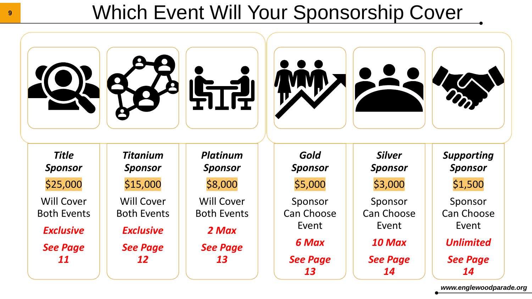### Which Event Will Your Sponsorship Cover



*www.englewoodparade.org*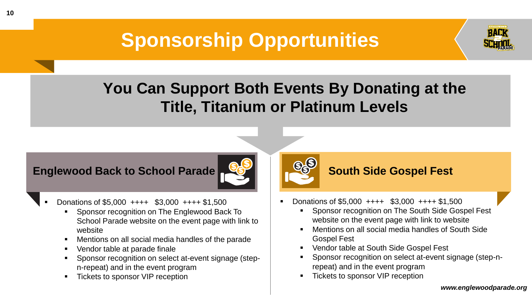## **Sponsorship Opportunities**



### **You Can Support Both Events By Donating at the Title, Titanium or Platinum Levels**

#### **Englewood Back to School Parade**



- Donations of  $$5,000$  ++++  $$3,000$  ++++  $$1,500$ 
	- Sponsor recognition on The Englewood Back To School Parade website on the event page with link to website
	- Mentions on all social media handles of the parade
	- Vendor table at parade finale
	- Sponsor recognition on select at-event signage (stepn-repeat) and in the event program
	- Tickets to sponsor VIP reception



#### **South Side Gospel Fest**

- Donations of \$5,000 ++++ \$3,000 ++++ \$1,500
	- Sponsor recognition on The South Side Gospel Fest website on the event page with link to website
	- Mentions on all social media handles of South Side Gospel Fest
	- **Vendor table at South Side Gospel Fest**
	- Sponsor recognition on select at-event signage (step-nrepeat) and in the event program
	- **Tickets to sponsor VIP reception**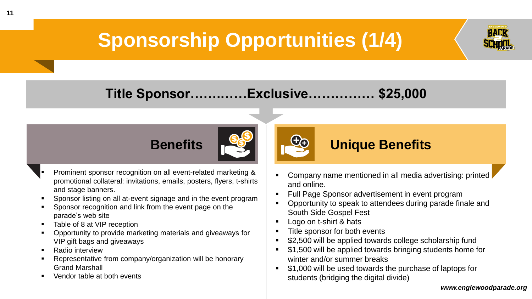# **Sponsorship Opportunities (1/4)**



#### **Title Sponsor…….……Exclusive…………… \$25,000**





- Sponsor listing on all at-event signage and in the event program
- Sponsor recognition and link from the event page on the parade's web site
- Table of 8 at VIP reception
- Opportunity to provide marketing materials and giveaways for VIP gift bags and giveaways
- **Radio interview**
- Representative from company/organization will be honorary Grand Marshall
- Vendor table at both events
- Company name mentioned in all media advertising: printed and online.
- **Full Page Sponsor advertisement in event program**

**Unique Benefits <sup>+</sup> <sup>+</sup>**

- Opportunity to speak to attendees during parade finale and South Side Gospel Fest
- Logo on t-shirt & hats
- Title sponsor for both events
- \$2,500 will be applied towards college scholarship fund
- \$1,500 will be applied towards bringing students home for winter and/or summer breaks
- \$1,000 will be used towards the purchase of laptops for students (bridging the digital divide)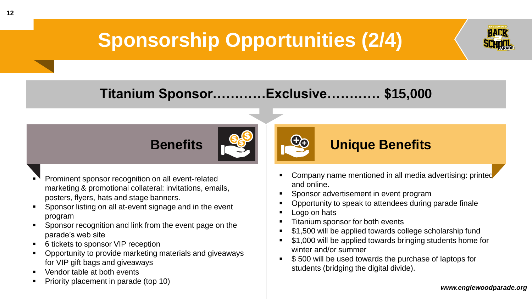# **Sponsorship Opportunities (2/4)**



#### **Titanium Sponsor…………Exclusive………… \$15,000**



- Prominent sponsor recognition on all event-related marketing & promotional collateral: invitations, emails, posters, flyers, hats and stage banners.
- Sponsor listing on all at-event signage and in the event program
- **EXECT:** Sponsor recognition and link from the event page on the parade's web site
- 6 tickets to sponsor VIP reception
- Opportunity to provide marketing materials and giveaways for VIP gift bags and giveaways
- Vendor table at both events
- Priority placement in parade (top 10)
- Company name mentioned in all media advertising: printed and online.
- Sponsor advertisement in event program

**Unique Benefits <sup>+</sup> <sup>+</sup>**

- Opportunity to speak to attendees during parade finale
- Logo on hats
- Titanium sponsor for both events
- \$1,500 will be applied towards college scholarship fund
- \$1,000 will be applied towards bringing students home for winter and/or summer
- \$500 will be used towards the purchase of laptops for students (bridging the digital divide).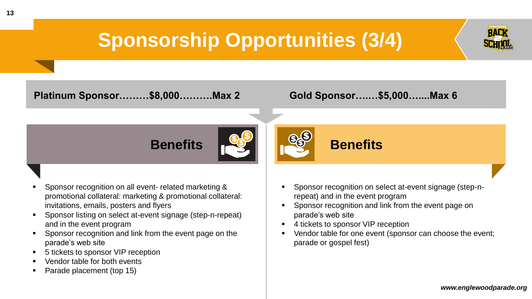## **Sponsorship Opportunities (3/4)**

**Platinum Sponsor………\$8,000……….Max 2 Gold Sponsor….…\$5,000…....Max 6** 

**Benefits**



### **Benefits**

- Sponsor recognition on all event- related marketing & promotional collateral: marketing & promotional collateral: invitations, emails, posters and flyers
- Sponsor listing on select at-event signage (step-n-repeat) and in the event program
- **EXECT:** Sponsor recognition and link from the event page on the parade's web site
- 5 tickets to sponsor VIP reception
- Vendor table for both events
- Parade placement (top 15)
- Sponsor recognition on select at-event signage (step-nrepeat) and in the event program
- Sponsor recognition and link from the event page on parade's web site
- 4 tickets to sponsor VIP reception
- Vendor table for one event (sponsor can choose the event; parade or gospel fest)